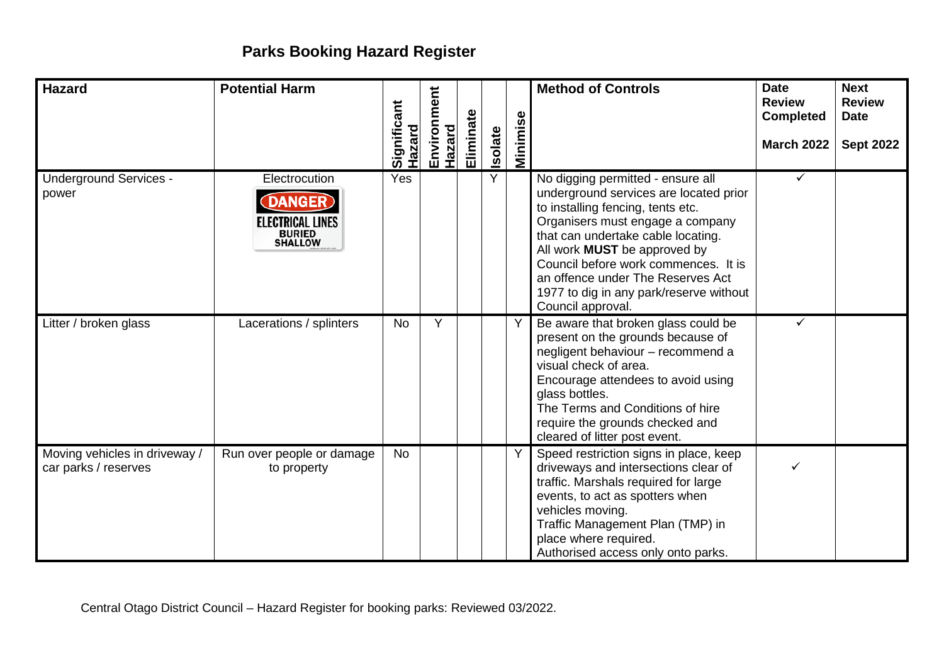## **Parks Booking Hazard Register**

| <b>Hazard</b>                                         | <b>Potential Harm</b>                                                                       | Significant<br>Hazard | Environment<br>Hazard | Eliminate | <b>Isolate</b> | Φ<br><b>Minimise</b> | <b>Method of Controls</b>                                                                                                                                                                                                                                                                                                                                                      | <b>Date</b><br><b>Review</b><br><b>Completed</b><br><b>March 2022</b> | <b>Next</b><br><b>Review</b><br><b>Date</b><br><b>Sept 2022</b> |
|-------------------------------------------------------|---------------------------------------------------------------------------------------------|-----------------------|-----------------------|-----------|----------------|----------------------|--------------------------------------------------------------------------------------------------------------------------------------------------------------------------------------------------------------------------------------------------------------------------------------------------------------------------------------------------------------------------------|-----------------------------------------------------------------------|-----------------------------------------------------------------|
| <b>Underground Services -</b><br>power                | Electrocution<br><b>ANGER</b><br><b>ELECTRICAL LINES</b><br><b>BURIED</b><br><b>SHALLOW</b> | Yes                   |                       |           | Y              |                      | No digging permitted - ensure all<br>underground services are located prior<br>to installing fencing, tents etc.<br>Organisers must engage a company<br>that can undertake cable locating.<br>All work <b>MUST</b> be approved by<br>Council before work commences. It is<br>an offence under The Reserves Act<br>1977 to dig in any park/reserve without<br>Council approval. | $\checkmark$                                                          |                                                                 |
| Litter / broken glass                                 | Lacerations / splinters                                                                     | No                    | Y                     |           |                | Y                    | Be aware that broken glass could be<br>present on the grounds because of<br>negligent behaviour - recommend a<br>visual check of area.<br>Encourage attendees to avoid using<br>glass bottles.<br>The Terms and Conditions of hire<br>require the grounds checked and<br>cleared of litter post event.                                                                         | ✓                                                                     |                                                                 |
| Moving vehicles in driveway /<br>car parks / reserves | Run over people or damage<br>to property                                                    | No                    |                       |           |                | Y                    | Speed restriction signs in place, keep<br>driveways and intersections clear of<br>traffic. Marshals required for large<br>events, to act as spotters when<br>vehicles moving.<br>Traffic Management Plan (TMP) in<br>place where required.<br>Authorised access only onto parks.                                                                                               |                                                                       |                                                                 |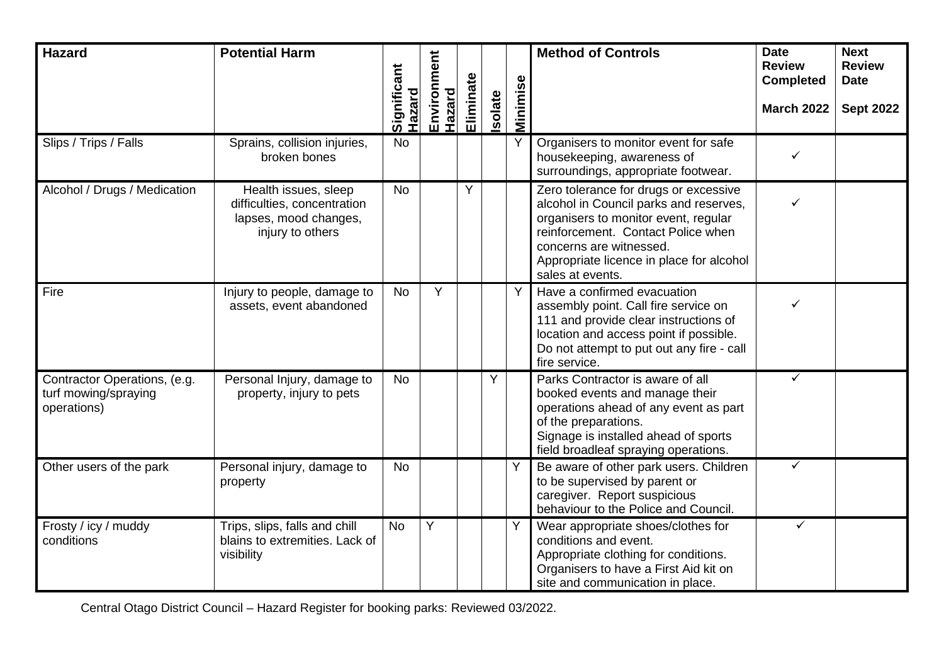| <b>Hazard</b>                                                       | <b>Potential Harm</b>                                                                            | Significant | Environment<br>Hazard | Eliminate |        |          | <b>Method of Controls</b>                                                                                                                                                                                                                                | <b>Date</b><br><b>Review</b><br><b>Completed</b> | <b>Next</b><br><b>Review</b><br><b>Date</b> |
|---------------------------------------------------------------------|--------------------------------------------------------------------------------------------------|-------------|-----------------------|-----------|--------|----------|----------------------------------------------------------------------------------------------------------------------------------------------------------------------------------------------------------------------------------------------------------|--------------------------------------------------|---------------------------------------------|
|                                                                     |                                                                                                  | Hazard      |                       |           | solate | Minimise |                                                                                                                                                                                                                                                          | <b>March 2022</b>                                | <b>Sept 2022</b>                            |
| Slips / Trips / Falls                                               | Sprains, collision injuries,<br>broken bones                                                     | <b>No</b>   |                       |           |        |          | Organisers to monitor event for safe<br>housekeeping, awareness of<br>surroundings, appropriate footwear.                                                                                                                                                | ✓                                                |                                             |
| Alcohol / Drugs / Medication                                        | Health issues, sleep<br>difficulties, concentration<br>lapses, mood changes,<br>injury to others | <b>No</b>   |                       | Y         |        |          | Zero tolerance for drugs or excessive<br>alcohol in Council parks and reserves,<br>organisers to monitor event, regular<br>reinforcement. Contact Police when<br>concerns are witnessed.<br>Appropriate licence in place for alcohol<br>sales at events. |                                                  |                                             |
| Fire                                                                | Injury to people, damage to<br>assets, event abandoned                                           | No          | Y                     |           |        | Y        | Have a confirmed evacuation<br>assembly point. Call fire service on<br>111 and provide clear instructions of<br>location and access point if possible.<br>Do not attempt to put out any fire - call<br>fire service.                                     | ✓                                                |                                             |
| Contractor Operations, (e.g.<br>turf mowing/spraying<br>operations) | Personal Injury, damage to<br>property, injury to pets                                           | <b>No</b>   |                       |           | Y      |          | Parks Contractor is aware of all<br>booked events and manage their<br>operations ahead of any event as part<br>of the preparations.<br>Signage is installed ahead of sports<br>field broadleaf spraying operations.                                      | $\checkmark$                                     |                                             |
| Other users of the park                                             | Personal injury, damage to<br>property                                                           | <b>No</b>   |                       |           |        | Y        | Be aware of other park users. Children<br>to be supervised by parent or<br>caregiver. Report suspicious<br>behaviour to the Police and Council.                                                                                                          | $\checkmark$                                     |                                             |
| Frosty / icy / muddy<br>conditions                                  | Trips, slips, falls and chill<br>blains to extremities. Lack of<br>visibility                    | <b>No</b>   | Y                     |           |        | Υ        | Wear appropriate shoes/clothes for<br>conditions and event.<br>Appropriate clothing for conditions.<br>Organisers to have a First Aid kit on<br>site and communication in place.                                                                         | $\checkmark$                                     |                                             |

Central Otago District Council – Hazard Register for booking parks: Reviewed 03/2022.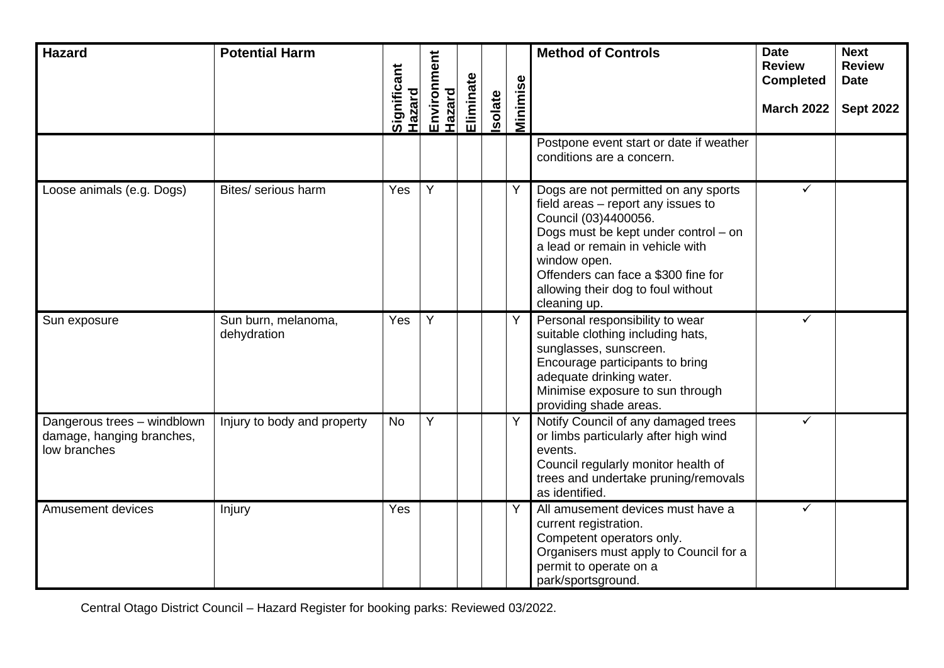| <b>Hazard</b>                                                            | <b>Potential Harm</b>              |                              | Environment<br>Hazard |           |         |          | <b>Method of Controls</b>                                                                                                                                                                                                                                                                   | <b>Date</b><br><b>Review</b><br><b>Completed</b> | <b>Next</b><br><b>Review</b><br><b>Date</b> |
|--------------------------------------------------------------------------|------------------------------------|------------------------------|-----------------------|-----------|---------|----------|---------------------------------------------------------------------------------------------------------------------------------------------------------------------------------------------------------------------------------------------------------------------------------------------|--------------------------------------------------|---------------------------------------------|
|                                                                          |                                    | Significant<br><b>Hazard</b> |                       | Eliminate | Isolate | Minimise |                                                                                                                                                                                                                                                                                             | <b>March 2022</b>                                | <b>Sept 2022</b>                            |
|                                                                          |                                    |                              |                       |           |         |          | Postpone event start or date if weather<br>conditions are a concern.                                                                                                                                                                                                                        |                                                  |                                             |
| Loose animals (e.g. Dogs)                                                | Bites/ serious harm                | Yes                          | Y                     |           |         | Υ        | Dogs are not permitted on any sports<br>field areas - report any issues to<br>Council (03)4400056.<br>Dogs must be kept under control - on<br>a lead or remain in vehicle with<br>window open.<br>Offenders can face a \$300 fine for<br>allowing their dog to foul without<br>cleaning up. | ✓                                                |                                             |
| Sun exposure                                                             | Sun burn, melanoma,<br>dehydration | Yes                          | Y                     |           |         | Υ        | Personal responsibility to wear<br>suitable clothing including hats,<br>sunglasses, sunscreen.<br>Encourage participants to bring<br>adequate drinking water.<br>Minimise exposure to sun through<br>providing shade areas.                                                                 | ✓                                                |                                             |
| Dangerous trees - windblown<br>damage, hanging branches,<br>low branches | Injury to body and property        | <b>No</b>                    | Y                     |           |         | Y        | Notify Council of any damaged trees<br>or limbs particularly after high wind<br>events.<br>Council regularly monitor health of<br>trees and undertake pruning/removals<br>as identified.                                                                                                    | ✓                                                |                                             |
| <b>Amusement devices</b>                                                 | Injury                             | Yes                          |                       |           |         | Y        | All amusement devices must have a<br>current registration.<br>Competent operators only.<br>Organisers must apply to Council for a<br>permit to operate on a<br>park/sportsground.                                                                                                           | ✓                                                |                                             |

Central Otago District Council – Hazard Register for booking parks: Reviewed 03/2022.